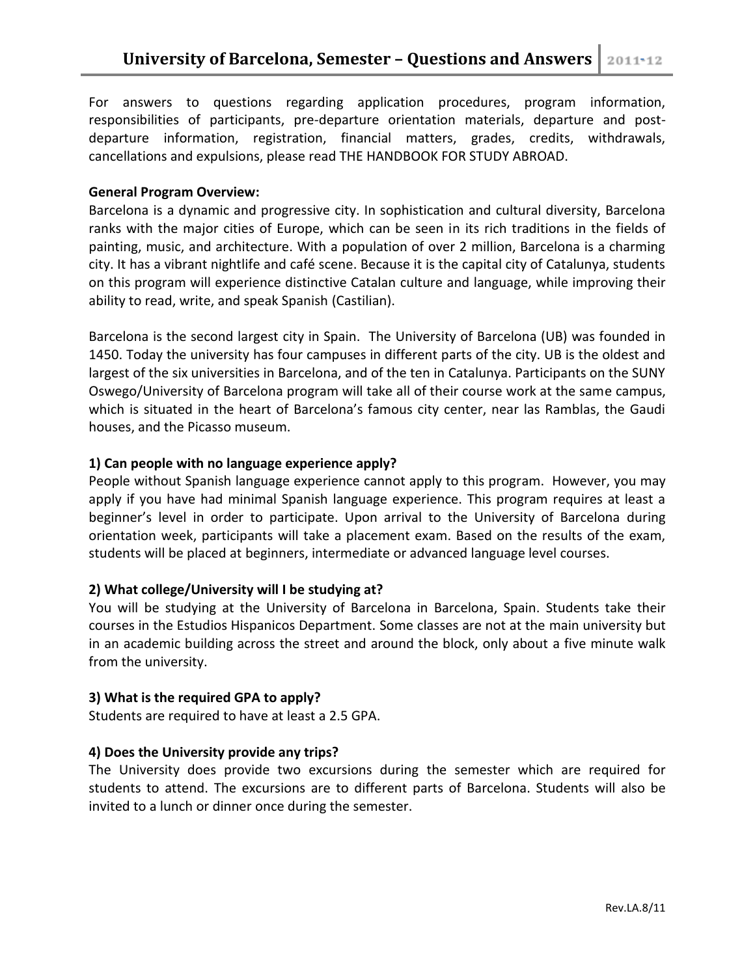For answers to questions regarding application procedures, program information, responsibilities of participants, pre-departure orientation materials, departure and postdeparture information, registration, financial matters, grades, credits, withdrawals, cancellations and expulsions, please read THE HANDBOOK FOR STUDY ABROAD.

### **General Program Overview:**

Barcelona is a dynamic and progressive city. In sophistication and cultural diversity, Barcelona ranks with the major cities of Europe, which can be seen in its rich traditions in the fields of painting, music, and architecture. With a population of over 2 million, Barcelona is a charming city. It has a vibrant nightlife and café scene. Because it is the capital city of Catalunya, students on this program will experience distinctive Catalan culture and language, while improving their ability to read, write, and speak Spanish (Castilian).

Barcelona is the second largest city in Spain. The University of Barcelona (UB) was founded in 1450. Today the university has four campuses in different parts of the city. UB is the oldest and largest of the six universities in Barcelona, and of the ten in Catalunya. Participants on the SUNY Oswego/University of Barcelona program will take all of their course work at the same campus, which is situated in the heart of Barcelona's famous city center, near las Ramblas, the Gaudi houses, and the Picasso museum.

### **1) Can people with no language experience apply?**

People without Spanish language experience cannot apply to this program. However, you may apply if you have had minimal Spanish language experience. This program requires at least a beginner's level in order to participate. Upon arrival to the University of Barcelona during orientation week, participants will take a placement exam. Based on the results of the exam, students will be placed at beginners, intermediate or advanced language level courses.

# **2) What college/University will I be studying at?**

You will be studying at the University of Barcelona in Barcelona, Spain. Students take their courses in the Estudios Hispanicos Department. Some classes are not at the main university but in an academic building across the street and around the block, only about a five minute walk from the university.

# **3) What is the required GPA to apply?**

Students are required to have at least a 2.5 GPA.

# **4) Does the University provide any trips?**

The University does provide two excursions during the semester which are required for students to attend. The excursions are to different parts of Barcelona. Students will also be invited to a lunch or dinner once during the semester.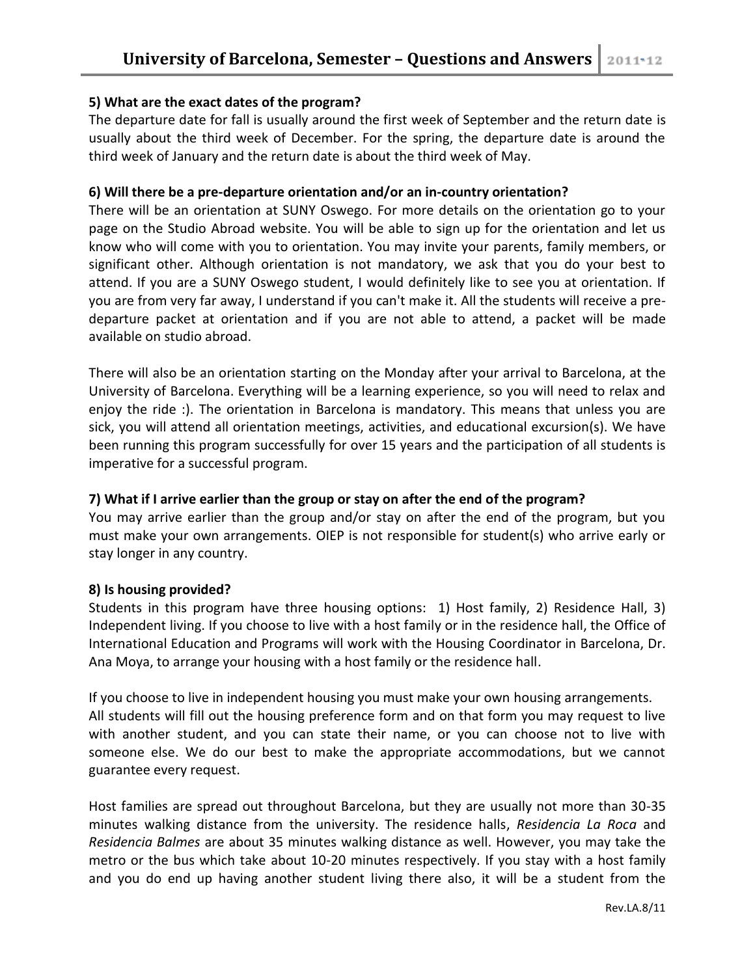# **5) What are the exact dates of the program?**

The departure date for fall is usually around the first week of September and the return date is usually about the third week of December. For the spring, the departure date is around the third week of January and the return date is about the third week of May.

#### **6) Will there be a pre-departure orientation and/or an in-country orientation?**

There will be an orientation at SUNY Oswego. For more details on the orientation go to your page on the Studio Abroad website. You will be able to sign up for the orientation and let us know who will come with you to orientation. You may invite your parents, family members, or significant other. Although orientation is not mandatory, we ask that you do your best to attend. If you are a SUNY Oswego student, I would definitely like to see you at orientation. If you are from very far away, I understand if you can't make it. All the students will receive a predeparture packet at orientation and if you are not able to attend, a packet will be made available on studio abroad.

There will also be an orientation starting on the Monday after your arrival to Barcelona, at the University of Barcelona. Everything will be a learning experience, so you will need to relax and enjoy the ride :). The orientation in Barcelona is mandatory. This means that unless you are sick, you will attend all orientation meetings, activities, and educational excursion(s). We have been running this program successfully for over 15 years and the participation of all students is imperative for a successful program.

# **7) What if I arrive earlier than the group or stay on after the end of the program?**

You may arrive earlier than the group and/or stay on after the end of the program, but you must make your own arrangements. OIEP is not responsible for student(s) who arrive early or stay longer in any country.

#### **8) Is housing provided?**

Students in this program have three housing options: 1) Host family, 2) Residence Hall, 3) Independent living. If you choose to live with a host family or in the residence hall, the Office of International Education and Programs will work with the Housing Coordinator in Barcelona, Dr. Ana Moya, to arrange your housing with a host family or the residence hall.

If you choose to live in independent housing you must make your own housing arrangements. All students will fill out the housing preference form and on that form you may request to live with another student, and you can state their name, or you can choose not to live with someone else. We do our best to make the appropriate accommodations, but we cannot guarantee every request.

Host families are spread out throughout Barcelona, but they are usually not more than 30-35 minutes walking distance from the university. The residence halls, *Residencia La Roca* and *Residencia Balmes* are about 35 minutes walking distance as well. However, you may take the metro or the bus which take about 10-20 minutes respectively. If you stay with a host family and you do end up having another student living there also, it will be a student from the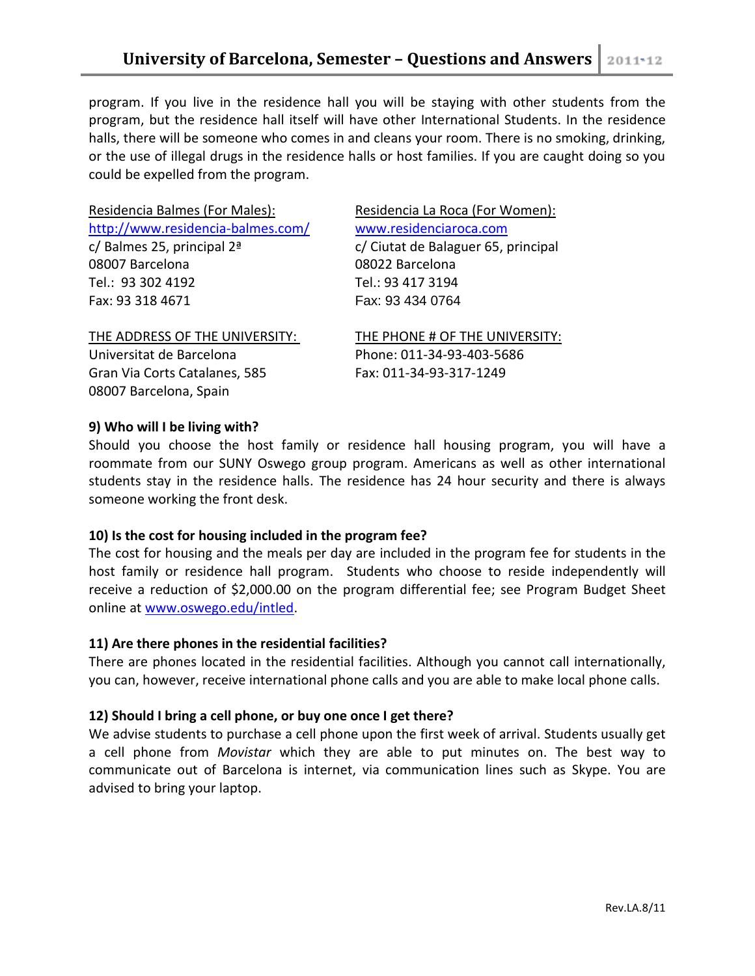program. If you live in the residence hall you will be staying with other students from the program, but the residence hall itself will have other International Students. In the residence halls, there will be someone who comes in and cleans your room. There is no smoking, drinking, or the use of illegal drugs in the residence halls or host families. If you are caught doing so you could be expelled from the program.

| Residencia Balmes (For Males):              | Residencia La Roca (For Women):     |
|---------------------------------------------|-------------------------------------|
| http://www.residencia-balmes.com/           | www.residenciaroca.com              |
| c/ Balmes 25, principal $2^{\underline{a}}$ | c/ Ciutat de Balaguer 65, principal |
| 08007 Barcelona                             | 08022 Barcelona                     |
| Tel.: 93 302 4192                           | Tel.: 93 417 3194                   |
| Fax: 93 318 4671                            | Fax: 93 434 0764                    |
| THE ADDRESS OF THE UNIVERSITY:              | THE PHONE # OF THE UNIVERSITY:      |
| Universitat de Barcelona                    | Phone: 011-34-93-403-5686           |
| Gran Via Corts Catalanes, 585               | Fax: 011-34-93-317-1249             |
| 08007 Barcelona, Spain                      |                                     |
|                                             |                                     |

### **9) Who will I be living with?**

Should you choose the host family or residence hall housing program, you will have a roommate from our SUNY Oswego group program. Americans as well as other international students stay in the residence halls. The residence has 24 hour security and there is always someone working the front desk.

# **10) Is the cost for housing included in the program fee?**

The cost for housing and the meals per day are included in the program fee for students in the host family or residence hall program. Students who choose to reside independently will receive a reduction of \$2,000.00 on the program differential fee; see Program Budget Sheet online at [www.oswego.edu/intled.](http://www.oswego.edu/intled)

# **11) Are there phones in the residential facilities?**

There are phones located in the residential facilities. Although you cannot call internationally, you can, however, receive international phone calls and you are able to make local phone calls.

# **12) Should I bring a cell phone, or buy one once I get there?**

We advise students to purchase a cell phone upon the first week of arrival. Students usually get a cell phone from *Movistar* which they are able to put minutes on. The best way to communicate out of Barcelona is internet, via communication lines such as Skype. You are advised to bring your laptop.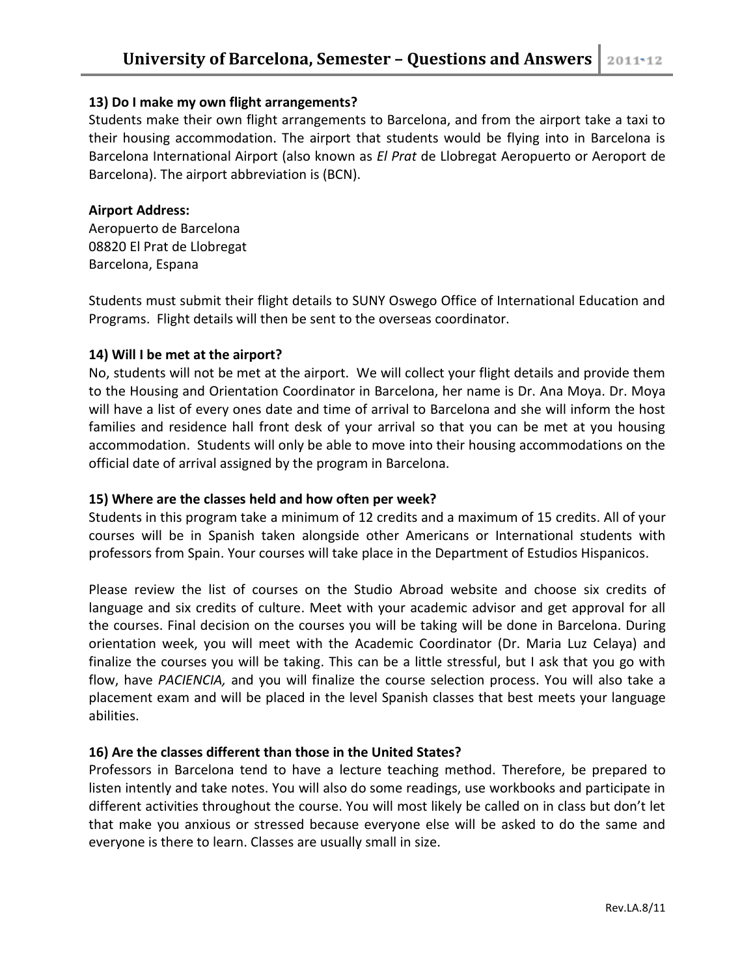### **13) Do I make my own flight arrangements?**

Students make their own flight arrangements to Barcelona, and from the airport take a taxi to their housing accommodation. The airport that students would be flying into in Barcelona is Barcelona International Airport (also known as *El Prat* de Llobregat Aeropuerto or Aeroport de Barcelona). The airport abbreviation is (BCN).

#### **Airport Address:**

Aeropuerto de Barcelona 08820 El Prat de Llobregat Barcelona, Espana

Students must submit their flight details to SUNY Oswego Office of International Education and Programs. Flight details will then be sent to the overseas coordinator.

### **14) Will I be met at the airport?**

No, students will not be met at the airport. We will collect your flight details and provide them to the Housing and Orientation Coordinator in Barcelona, her name is Dr. Ana Moya. Dr. Moya will have a list of every ones date and time of arrival to Barcelona and she will inform the host families and residence hall front desk of your arrival so that you can be met at you housing accommodation. Students will only be able to move into their housing accommodations on the official date of arrival assigned by the program in Barcelona.

# **15) Where are the classes held and how often per week?**

Students in this program take a minimum of 12 credits and a maximum of 15 credits. All of your courses will be in Spanish taken alongside other Americans or International students with professors from Spain. Your courses will take place in the Department of Estudios Hispanicos.

Please review the list of courses on the Studio Abroad website and choose six credits of language and six credits of culture. Meet with your academic advisor and get approval for all the courses. Final decision on the courses you will be taking will be done in Barcelona. During orientation week, you will meet with the Academic Coordinator (Dr. Maria Luz Celaya) and finalize the courses you will be taking. This can be a little stressful, but I ask that you go with flow, have *PACIENCIA,* and you will finalize the course selection process. You will also take a placement exam and will be placed in the level Spanish classes that best meets your language abilities.

# **16) Are the classes different than those in the United States?**

Professors in Barcelona tend to have a lecture teaching method. Therefore, be prepared to listen intently and take notes. You will also do some readings, use workbooks and participate in different activities throughout the course. You will most likely be called on in class but don't let that make you anxious or stressed because everyone else will be asked to do the same and everyone is there to learn. Classes are usually small in size.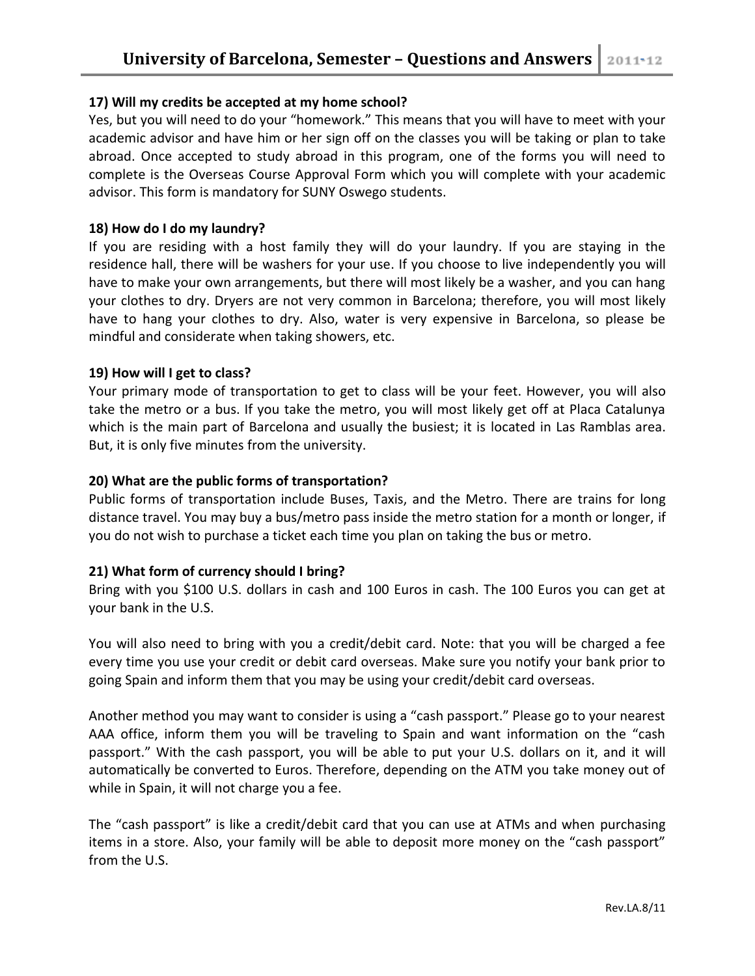# **17) Will my credits be accepted at my home school?**

Yes, but you will need to do your "homework." This means that you will have to meet with your academic advisor and have him or her sign off on the classes you will be taking or plan to take abroad. Once accepted to study abroad in this program, one of the forms you will need to complete is the Overseas Course Approval Form which you will complete with your academic advisor. This form is mandatory for SUNY Oswego students.

#### **18) How do I do my laundry?**

If you are residing with a host family they will do your laundry. If you are staying in the residence hall, there will be washers for your use. If you choose to live independently you will have to make your own arrangements, but there will most likely be a washer, and you can hang your clothes to dry. Dryers are not very common in Barcelona; therefore, you will most likely have to hang your clothes to dry. Also, water is very expensive in Barcelona, so please be mindful and considerate when taking showers, etc.

### **19) How will I get to class?**

Your primary mode of transportation to get to class will be your feet. However, you will also take the metro or a bus. If you take the metro, you will most likely get off at Placa Catalunya which is the main part of Barcelona and usually the busiest; it is located in Las Ramblas area. But, it is only five minutes from the university.

### **20) What are the public forms of transportation?**

Public forms of transportation include Buses, Taxis, and the Metro. There are trains for long distance travel. You may buy a bus/metro pass inside the metro station for a month or longer, if you do not wish to purchase a ticket each time you plan on taking the bus or metro.

#### **21) What form of currency should I bring?**

Bring with you \$100 U.S. dollars in cash and 100 Euros in cash. The 100 Euros you can get at your bank in the U.S.

You will also need to bring with you a credit/debit card. Note: that you will be charged a fee every time you use your credit or debit card overseas. Make sure you notify your bank prior to going Spain and inform them that you may be using your credit/debit card overseas.

Another method you may want to consider is using a "cash passport." Please go to your nearest AAA office, inform them you will be traveling to Spain and want information on the "cash passport." With the cash passport, you will be able to put your U.S. dollars on it, and it will automatically be converted to Euros. Therefore, depending on the ATM you take money out of while in Spain, it will not charge you a fee.

The "cash passport" is like a credit/debit card that you can use at ATMs and when purchasing items in a store. Also, your family will be able to deposit more money on the "cash passport" from the U.S.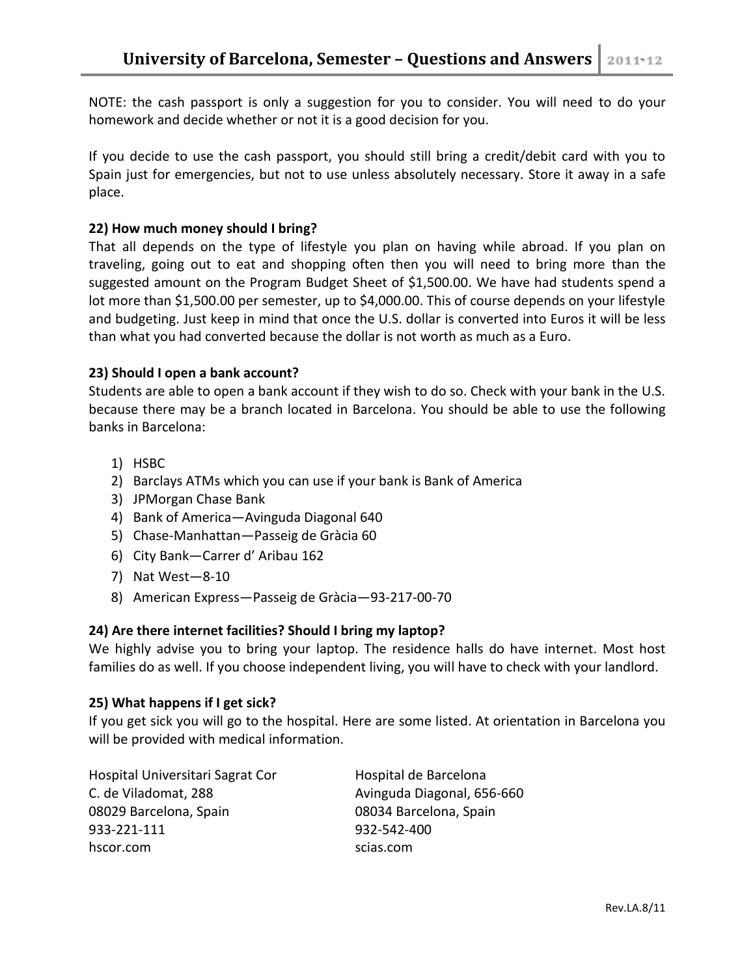NOTE: the cash passport is only a suggestion for you to consider. You will need to do your homework and decide whether or not it is a good decision for you.

If you decide to use the cash passport, you should still bring a credit/debit card with you to Spain just for emergencies, but not to use unless absolutely necessary. Store it away in a safe place.

# **22) How much money should I bring?**

That all depends on the type of lifestyle you plan on having while abroad. If you plan on traveling, going out to eat and shopping often then you will need to bring more than the suggested amount on the Program Budget Sheet of \$1,500.00. We have had students spend a lot more than \$1,500.00 per semester, up to \$4,000.00. This of course depends on your lifestyle and budgeting. Just keep in mind that once the U.S. dollar is converted into Euros it will be less than what you had converted because the dollar is not worth as much as a Euro.

# **23) Should I open a bank account?**

Students are able to open a bank account if they wish to do so. Check with your bank in the U.S. because there may be a branch located in Barcelona. You should be able to use the following banks in Barcelona:

- 1) HSBC
- 2) Barclays ATMs which you can use if your bank is Bank of America
- 3) JPMorgan Chase Bank
- 4) Bank of America—Avinguda Diagonal 640
- 5) Chase-Manhattan—Passeig de Gràcia 60
- 6) City Bank—Carrer d' Aribau 162
- 7) Nat West—8-10
- 8) American Express—Passeig de Gràcia—93-217-00-70

# **24) Are there internet facilities? Should I bring my laptop?**

We highly advise you to bring your laptop. The residence halls do have internet. Most host families do as well. If you choose independent living, you will have to check with your landlord.

# **25) What happens if I get sick?**

If you get sick you will go to the hospital. Here are some listed. At orientation in Barcelona you will be provided with medical information.

Hospital Universitari Sagrat Cor Hospital de Barcelona C. de Viladomat, 288 Avinguda Diagonal, 656-660 08029 Barcelona, Spain 08034 Barcelona, Spain 933-221-111 932-542-400 hscor.com scias.com scias.com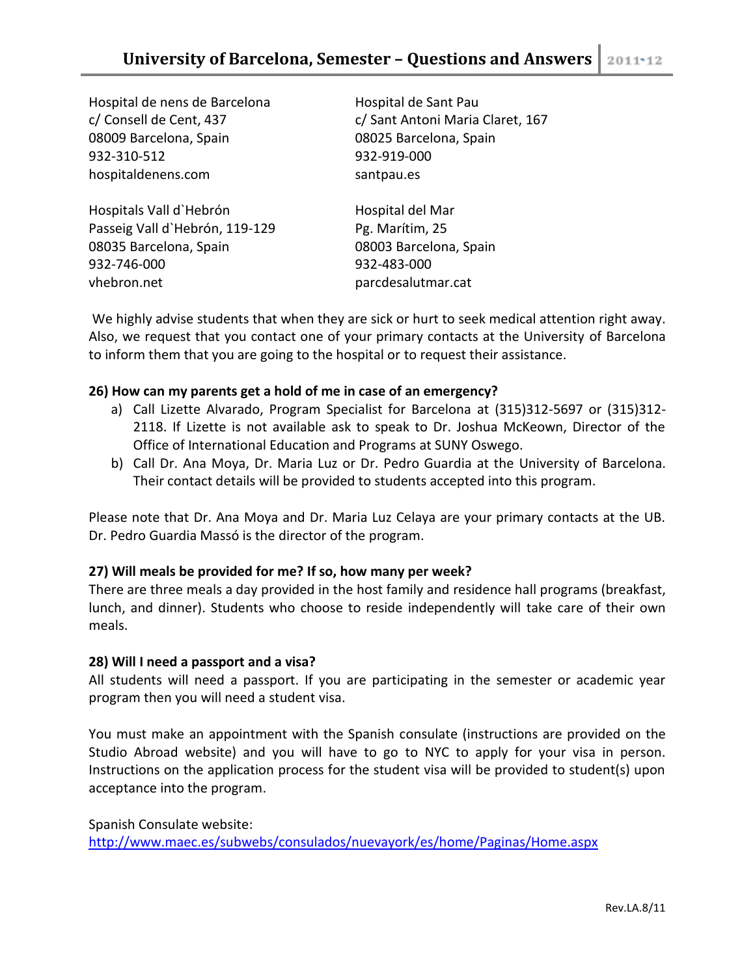Hospital de nens de Barcelona Hospital de Sant Pau 08009 Barcelona, Spain 08025 Barcelona, Spain 932-310-512 932-919-000 hospitaldenens.com santpau.es

Hospitals Vall d'Hebrón Hospital del Mar Passeig Vall d'Hebrón, 119-129 Pg. Marítim, 25 08035 Barcelona, Spain 08003 Barcelona, Spain 932-746-000 932-483-000 vhebron.net parcdesalutmar.cat

c/ Consell de Cent, 437 c/ Sant Antoni Maria Claret, 167

We highly advise students that when they are sick or hurt to seek medical attention right away. Also, we request that you contact one of your primary contacts at the University of Barcelona to inform them that you are going to the hospital or to request their assistance.

# **26) How can my parents get a hold of me in case of an emergency?**

- a) Call Lizette Alvarado, Program Specialist for Barcelona at (315)312-5697 or (315)312- 2118. If Lizette is not available ask to speak to Dr. Joshua McKeown, Director of the Office of International Education and Programs at SUNY Oswego.
- b) Call Dr. Ana Moya, Dr. Maria Luz or Dr. Pedro Guardia at the University of Barcelona. Their contact details will be provided to students accepted into this program.

Please note that Dr. Ana Moya and Dr. Maria Luz Celaya are your primary contacts at the UB. Dr. Pedro Guardia Massó is the director of the program.

# **27) Will meals be provided for me? If so, how many per week?**

There are three meals a day provided in the host family and residence hall programs (breakfast, lunch, and dinner). Students who choose to reside independently will take care of their own meals.

# **28) Will I need a passport and a visa?**

All students will need a passport. If you are participating in the semester or academic year program then you will need a student visa.

You must make an appointment with the Spanish consulate (instructions are provided on the Studio Abroad website) and you will have to go to NYC to apply for your visa in person. Instructions on the application process for the student visa will be provided to student(s) upon acceptance into the program.

Spanish Consulate website: <http://www.maec.es/subwebs/consulados/nuevayork/es/home/Paginas/Home.aspx>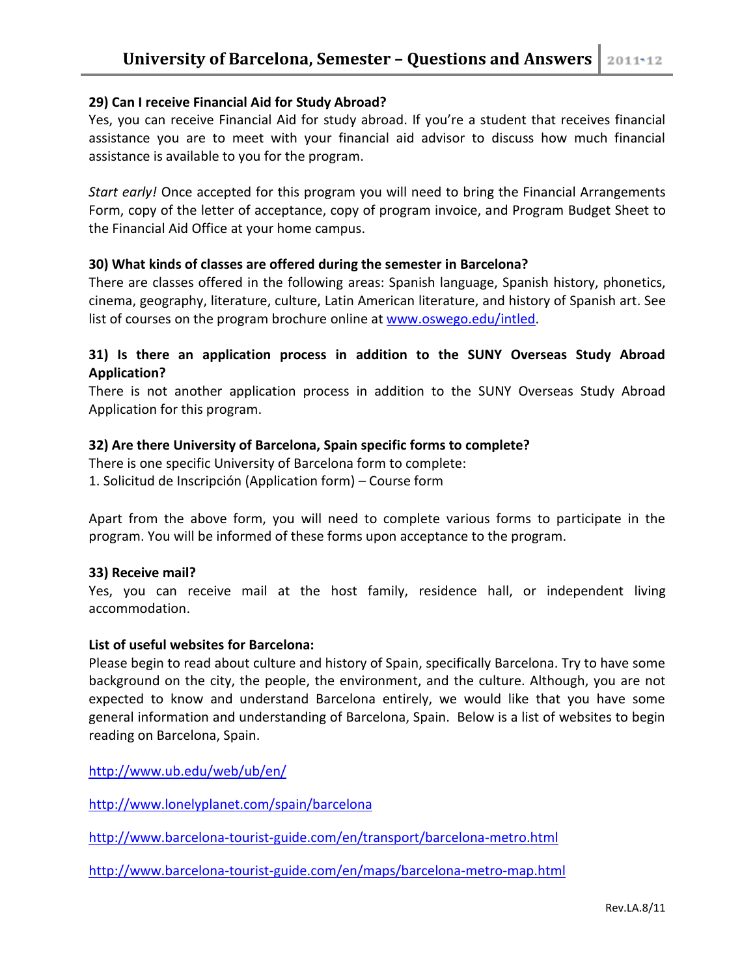### **29) Can I receive Financial Aid for Study Abroad?**

Yes, you can receive Financial Aid for study abroad. If you're a student that receives financial assistance you are to meet with your financial aid advisor to discuss how much financial assistance is available to you for the program.

*Start early!* Once accepted for this program you will need to bring the Financial Arrangements Form, copy of the letter of acceptance, copy of program invoice, and Program Budget Sheet to the Financial Aid Office at your home campus.

#### **30) What kinds of classes are offered during the semester in Barcelona?**

There are classes offered in the following areas: Spanish language, Spanish history, phonetics, cinema, geography, literature, culture, Latin American literature, and history of Spanish art. See list of courses on the program brochure online at [www.oswego.edu/intled.](http://www.oswego.edu/intled)

# **31) Is there an application process in addition to the SUNY Overseas Study Abroad Application?**

There is not another application process in addition to the SUNY Overseas Study Abroad Application for this program.

### **32) Are there University of Barcelona, Spain specific forms to complete?**

There is one specific University of Barcelona form to complete:

1. Solicitud de Inscripción (Application form) – Course form

Apart from the above form, you will need to complete various forms to participate in the program. You will be informed of these forms upon acceptance to the program.

#### **33) Receive mail?**

Yes, you can receive mail at the host family, residence hall, or independent living accommodation.

#### **List of useful websites for Barcelona:**

Please begin to read about culture and history of Spain, specifically Barcelona. Try to have some background on the city, the people, the environment, and the culture. Although, you are not expected to know and understand Barcelona entirely, we would like that you have some general information and understanding of Barcelona, Spain. Below is a list of websites to begin reading on Barcelona, Spain.

<http://www.ub.edu/web/ub/en/>

<http://www.lonelyplanet.com/spain/barcelona>

<http://www.barcelona-tourist-guide.com/en/transport/barcelona-metro.html>

<http://www.barcelona-tourist-guide.com/en/maps/barcelona-metro-map.html>